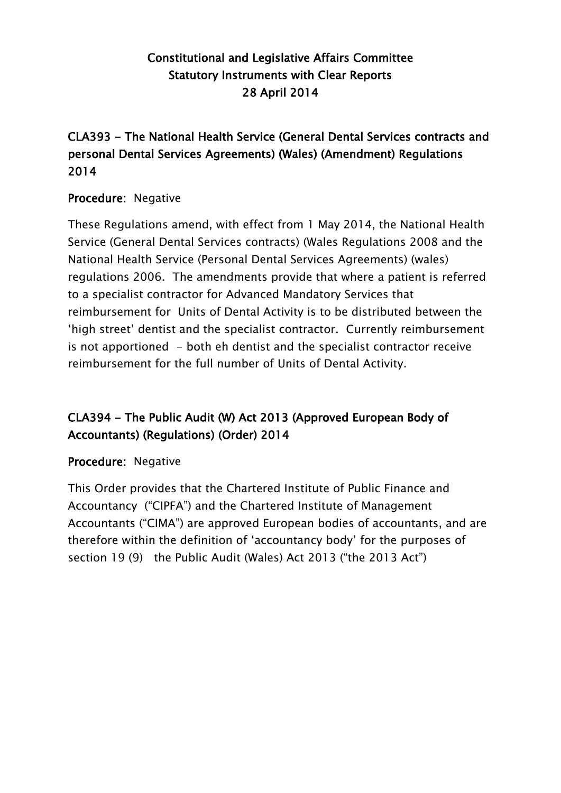### Constitutional and Legislative Affairs Committee Statutory Instruments with Clear Reports 28 April 2014

#### CLA393 - The National Health Service (General Dental Services contracts and personal Dental Services Agreements) (Wales) (Amendment) Regulations 2014

#### Procedure: Negative

These Regulations amend, with effect from 1 May 2014, the National Health Service (General Dental Services contracts) (Wales Regulations 2008 and the National Health Service (Personal Dental Services Agreements) (wales) regulations 2006. The amendments provide that where a patient is referred to a specialist contractor for Advanced Mandatory Services that reimbursement for Units of Dental Activity is to be distributed between the "high street" dentist and the specialist contractor. Currently reimbursement is not apportioned - both eh dentist and the specialist contractor receive reimbursement for the full number of Units of Dental Activity.

## CLA394 - The Public Audit (W) Act 2013 (Approved European Body of Accountants) (Regulations) (Order) 2014

#### Procedure: Negative

This Order provides that the Chartered Institute of Public Finance and Accountancy ("CIPFA") and the Chartered Institute of Management Accountants ("CIMA") are approved European bodies of accountants, and are therefore within the definition of "accountancy body" for the purposes of section 19 (9) the Public Audit (Wales) Act 2013 ("the 2013 Act")